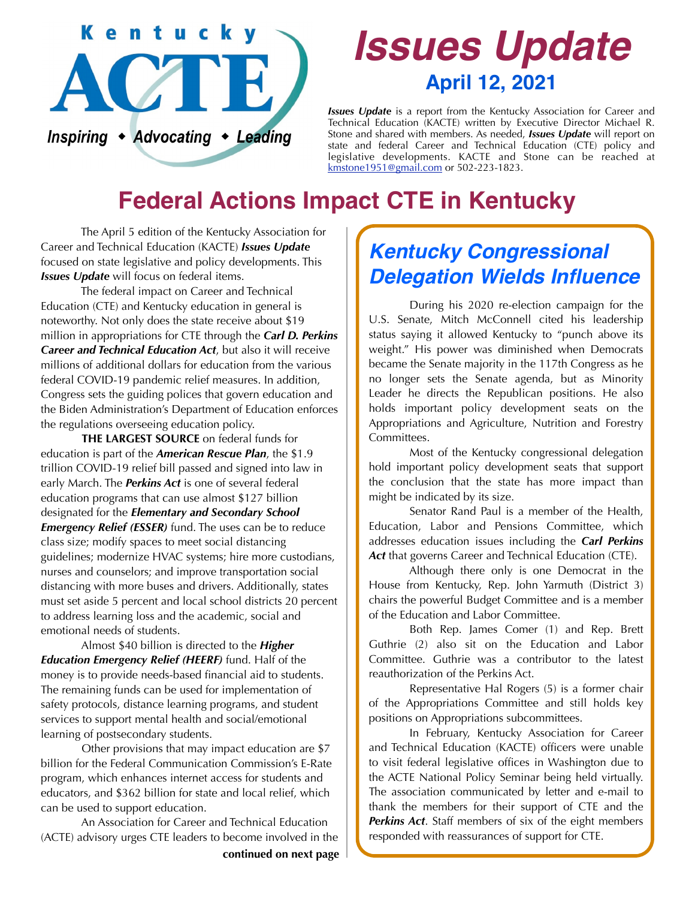

# *Issues Update* **April 12, 2021**

*Issues Update* is a report from the Kentucky Association for Career and Technical Education (KACTE) written by Executive Director Michael R. Stone and shared with members. As needed, *Issues Update* will report on state and federal Career and Technical Education (CTE) policy and legislative developments. KACTE and Stone can be reached at [kmstone1951@gmail.com](mailto:kmstone1951@gmail.com) or 502-223-1823.

## **Federal Actions Impact CTE in Kentucky**

 The April 5 edition of the Kentucky Association for Career and Technical Education (KACTE) *Issues Update* focused on state legislative and policy developments. This *Issues Update* will focus on federal items.

 The federal impact on Career and Technical Education (CTE) and Kentucky education in general is noteworthy. Not only does the state receive about \$19 million in appropriations for CTE through the *Carl D. Perkins Career and Technical Education Act*, but also it will receive millions of additional dollars for education from the various federal COVID-19 pandemic relief measures. In addition, Congress sets the guiding polices that govern education and the Biden Administration's Department of Education enforces the regulations overseeing education policy.

**THE LARGEST SOURCE** on federal funds for education is part of the *American Rescue Plan*, the \$1.9 trillion COVID-19 relief bill passed and signed into law in early March. The *Perkins Act* is one of several federal education programs that can use almost \$127 billion designated for the *Elementary and Secondary School Emergency Relief (ESSER)* fund. The uses can be to reduce class size; modify spaces to meet social distancing guidelines; modernize HVAC systems; hire more custodians, nurses and counselors; and improve transportation social distancing with more buses and drivers. Additionally, states must set aside 5 percent and local school districts 20 percent to address learning loss and the academic, social and emotional needs of students.

 Almost \$40 billion is directed to the *Higher Education Emergency Relief (HEERF)* fund. Half of the money is to provide needs-based financial aid to students. The remaining funds can be used for implementation of safety protocols, distance learning programs, and student services to support mental health and social/emotional learning of postsecondary students.

 Other provisions that may impact education are \$7 billion for the Federal Communication Commission's E-Rate program, which enhances internet access for students and educators, and \$362 billion for state and local relief, which can be used to support education.

 An Association for Career and Technical Education (ACTE) advisory urges CTE leaders to become involved in the

#### **continued on next page**

#### *Kentucky Congressional Delegation Wields Influence*

 During his 2020 re-election campaign for the U.S. Senate, Mitch McConnell cited his leadership status saying it allowed Kentucky to "punch above its weight." His power was diminished when Democrats became the Senate majority in the 117th Congress as he no longer sets the Senate agenda, but as Minority Leader he directs the Republican positions. He also holds important policy development seats on the Appropriations and Agriculture, Nutrition and Forestry Committees.

 Most of the Kentucky congressional delegation hold important policy development seats that support the conclusion that the state has more impact than might be indicated by its size.

 Senator Rand Paul is a member of the Health, Education, Labor and Pensions Committee, which addresses education issues including the *Carl Perkins Act* that governs Career and Technical Education (CTE).

 Although there only is one Democrat in the House from Kentucky, Rep. John Yarmuth (District 3) chairs the powerful Budget Committee and is a member of the Education and Labor Committee.

 Both Rep. James Comer (1) and Rep. Brett Guthrie (2) also sit on the Education and Labor Committee. Guthrie was a contributor to the latest reauthorization of the Perkins Act.

 Representative Hal Rogers (5) is a former chair of the Appropriations Committee and still holds key positions on Appropriations subcommittees.

 In February, Kentucky Association for Career and Technical Education (KACTE) officers were unable to visit federal legislative offices in Washington due to the ACTE National Policy Seminar being held virtually. The association communicated by letter and e-mail to thank the members for their support of CTE and the *Perkins Act*. Staff members of six of the eight members responded with reassurances of support for CTE.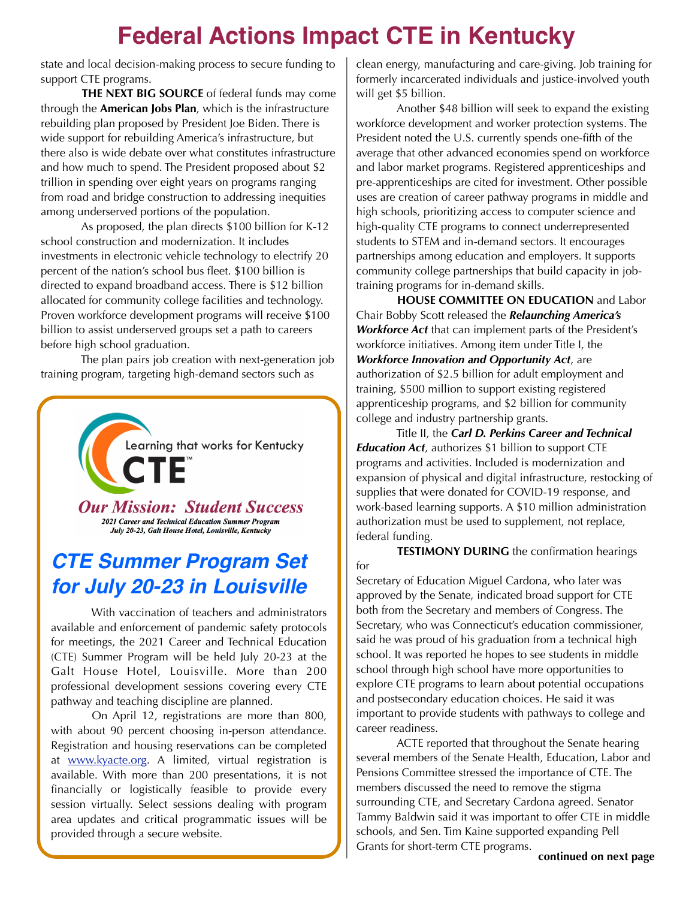### **Federal Actions Impact CTE in Kentucky**

state and local decision-making process to secure funding to support CTE programs.

**THE NEXT BIG SOURCE** of federal funds may come through the **American Jobs Plan**, which is the infrastructure rebuilding plan proposed by President Joe Biden. There is wide support for rebuilding America's infrastructure, but there also is wide debate over what constitutes infrastructure and how much to spend. The President proposed about \$2 trillion in spending over eight years on programs ranging from road and bridge construction to addressing inequities among underserved portions of the population.

 As proposed, the plan directs \$100 billion for K-12 school construction and modernization. It includes investments in electronic vehicle technology to electrify 20 percent of the nation's school bus fleet. \$100 billion is directed to expand broadband access. There is \$12 billion allocated for community college facilities and technology. Proven workforce development programs will receive \$100 billion to assist underserved groups set a path to careers before high school graduation.

 The plan pairs job creation with next-generation job training program, targeting high-demand sectors such as



#### *CTE Summer Program Set for July 20-23 in Louisville*

 With vaccination of teachers and administrators available and enforcement of pandemic safety protocols for meetings, the 2021 Career and Technical Education (CTE) Summer Program will be held July 20-23 at the Galt House Hotel, Louisville. More than 200 professional development sessions covering every CTE pathway and teaching discipline are planned.

 On April 12, registrations are more than 800, with about 90 percent choosing in-person attendance. Registration and housing reservations can be completed at www.kyacte.org. A limited, virtual registration is available. With more than 200 presentations, it is not financially or logistically feasible to provide every session virtually. Select sessions dealing with program area updates and critical programmatic issues will be provided through a secure website.

clean energy, manufacturing and care-giving. Job training for formerly incarcerated individuals and justice-involved youth will get \$5 billion.

 Another \$48 billion will seek to expand the existing workforce development and worker protection systems. The President noted the U.S. currently spends one-fifth of the average that other advanced economies spend on workforce and labor market programs. Registered apprenticeships and pre-apprenticeships are cited for investment. Other possible uses are creation of career pathway programs in middle and high schools, prioritizing access to computer science and high-quality CTE programs to connect underrepresented students to STEM and in-demand sectors. It encourages partnerships among education and employers. It supports community college partnerships that build capacity in jobtraining programs for in-demand skills.

**HOUSE COMMITTEE ON EDUCATION** and Labor Chair Bobby Scott released the *Relaunching America's Workforce Act* that can implement parts of the President's workforce initiatives. Among item under Title I, the *Workforce Innovation and Opportunity Act*, are authorization of \$2.5 billion for adult employment and training, \$500 million to support existing registered apprenticeship programs, and \$2 billion for community college and industry partnership grants.

 Title II, the *Carl D. Perkins Career and Technical Education Act*, authorizes \$1 billion to support CTE programs and activities. Included is modernization and expansion of physical and digital infrastructure, restocking of supplies that were donated for COVID-19 response, and work-based learning supports. A \$10 million administration authorization must be used to supplement, not replace, federal funding.

**TESTIMONY DURING** the confirmation hearings for

Secretary of Education Miguel Cardona, who later was approved by the Senate, indicated broad support for CTE both from the Secretary and members of Congress. The Secretary, who was Connecticut's education commissioner, said he was proud of his graduation from a technical high school. It was reported he hopes to see students in middle school through high school have more opportunities to explore CTE programs to learn about potential occupations and postsecondary education choices. He said it was important to provide students with pathways to college and career readiness.

 ACTE reported that throughout the Senate hearing several members of the Senate Health, Education, Labor and Pensions Committee stressed the importance of CTE. The members discussed the need to remove the stigma surrounding CTE, and Secretary Cardona agreed. Senator Tammy Baldwin said it was important to offer CTE in middle schools, and Sen. Tim Kaine supported expanding Pell Grants for short-term CTE programs.